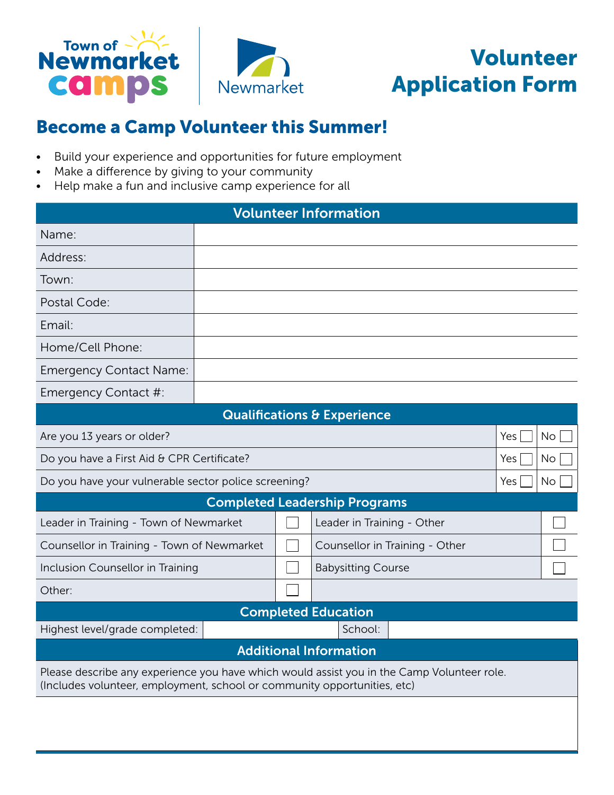



## Become a Camp Volunteer this Summer!

- Build your experience and opportunities for future employment
- Make a difference by giving to your community
- Help make a fun and inclusive camp experience for all

| <b>Volunteer Information</b>                                                                                                                                           |  |  |                                        |     |           |
|------------------------------------------------------------------------------------------------------------------------------------------------------------------------|--|--|----------------------------------------|-----|-----------|
| Name:                                                                                                                                                                  |  |  |                                        |     |           |
| Address:                                                                                                                                                               |  |  |                                        |     |           |
| Town:                                                                                                                                                                  |  |  |                                        |     |           |
| Postal Code:                                                                                                                                                           |  |  |                                        |     |           |
| Email:                                                                                                                                                                 |  |  |                                        |     |           |
| Home/Cell Phone:                                                                                                                                                       |  |  |                                        |     |           |
| <b>Emergency Contact Name:</b>                                                                                                                                         |  |  |                                        |     |           |
| Emergency Contact #:                                                                                                                                                   |  |  |                                        |     |           |
|                                                                                                                                                                        |  |  | <b>Qualifications &amp; Experience</b> |     |           |
| Are you 13 years or older?<br>Yes                                                                                                                                      |  |  | No                                     |     |           |
| Do you have a First Aid & CPR Certificate?                                                                                                                             |  |  |                                        | Yes | <b>No</b> |
| Do you have your vulnerable sector police screening?                                                                                                                   |  |  |                                        | Yes | <b>No</b> |
|                                                                                                                                                                        |  |  | <b>Completed Leadership Programs</b>   |     |           |
| Leader in Training - Town of Newmarket                                                                                                                                 |  |  | Leader in Training - Other             |     |           |
| Counsellor in Training - Town of Newmarket                                                                                                                             |  |  | Counsellor in Training - Other         |     |           |
| Inclusion Counsellor in Training                                                                                                                                       |  |  | <b>Babysitting Course</b>              |     |           |
| Other:                                                                                                                                                                 |  |  |                                        |     |           |
| <b>Completed Education</b>                                                                                                                                             |  |  |                                        |     |           |
| Highest level/grade completed:<br>School:                                                                                                                              |  |  |                                        |     |           |
| <b>Additional Information</b>                                                                                                                                          |  |  |                                        |     |           |
| Please describe any experience you have which would assist you in the Camp Volunteer role.<br>(Includes volunteer, employment, school or community opportunities, etc) |  |  |                                        |     |           |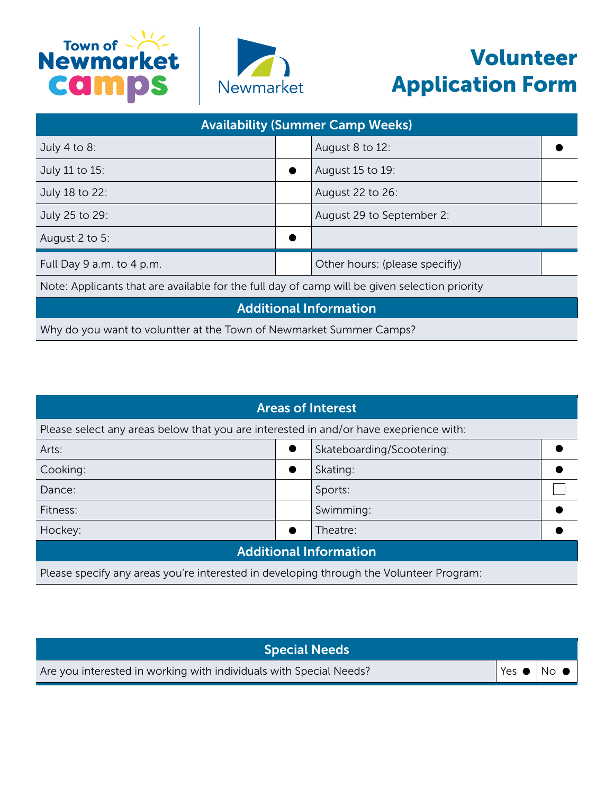



## Volunteer Application Form

| <b>Availability (Summer Camp Weeks)</b>                                                       |  |                                |  |
|-----------------------------------------------------------------------------------------------|--|--------------------------------|--|
| July 4 to 8:                                                                                  |  | August 8 to 12:                |  |
| July 11 to 15:                                                                                |  | August 15 to 19:               |  |
| July 18 to 22:                                                                                |  | August 22 to 26:               |  |
| July 25 to 29:                                                                                |  | August 29 to September 2:      |  |
| August 2 to 5:                                                                                |  |                                |  |
| Full Day 9 a.m. to 4 p.m.                                                                     |  | Other hours: (please specifiy) |  |
| Note: Applicants that are available for the full day of camp will be given selection priority |  |                                |  |
| <b>Additional Information</b>                                                                 |  |                                |  |
|                                                                                               |  |                                |  |

Why do you want to voluntter at the Town of Newmarket Summer Camps?

| <b>Areas of Interest</b>                                                                |           |                           |  |
|-----------------------------------------------------------------------------------------|-----------|---------------------------|--|
| Please select any areas below that you are interested in and/or have exeprience with:   |           |                           |  |
| Arts:                                                                                   | $\bullet$ | Skateboarding/Scootering: |  |
| Cooking:                                                                                | ●         | Skating:                  |  |
| Dance:                                                                                  |           | Sports:                   |  |
| Fitness:                                                                                |           | Swimming:                 |  |
| Hockey:                                                                                 |           | Theatre:                  |  |
| <b>Additional Information</b>                                                           |           |                           |  |
| Please specify any areas you're interested in developing through the Volunteer Program: |           |                           |  |

| <b>Special Needs</b>                                               |                                                       |
|--------------------------------------------------------------------|-------------------------------------------------------|
| Are you interested in working with individuals with Special Needs? | $^{\dagger}$ Yes $\bullet$ $\mid$ No $\bullet$ $\mid$ |